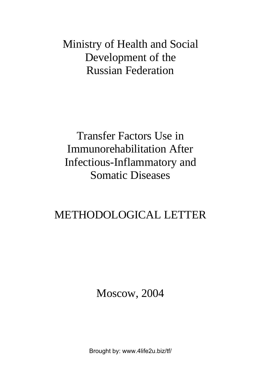Ministry of Health and Social Development of the Russian Federation

Transfer Factors Use in Immunorehabilitation After Infectious-Inflammatory and Somatic Diseases

# METHODOLOGICAL LETTER

Moscow, 2004

[Brought by: www.4life2u.biz/tf/](http://www.4life2u.biz/tf/)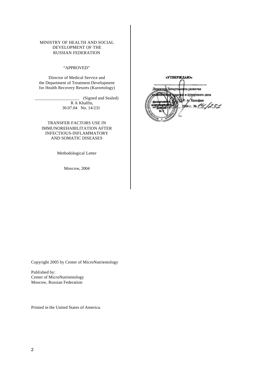#### MINISTRY OF HEALTH AND SOCIAL DEVELOPMENT OF THE RUSSIAN FEDERATION

#### "APPROVED"

Director of Medical Service and the Department of Treatment Development for Health Recovery Resorts (Kurortology)

> \_\_\_\_\_\_\_\_\_\_\_\_\_\_\_\_\_\_\_\_ (Signed and Sealed) R A Khalfin, 30.07.04 No. 14/231

TRANSFER FACTORS USE IN IMMUNOREHABILITATION AFTER INFECTIOUS-INFLAMMATORY AND SOMATIC DISEASES

Methodological Letter

Moscow, 2004

«УТВЕРЖДАЮ» **BATRANTES** к курортного дела 1231

Copyright 2005 by Center of MicroNutrientology

Published by: Center of MicroNutrientology Moscow, Russian Federation

Printed in the United States of America.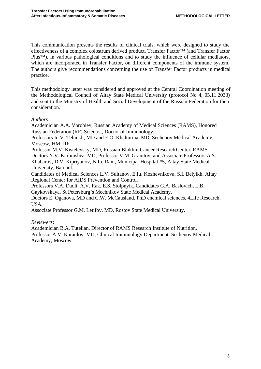This communication presents the results of clinical trials, which were designed to study the effectiveness of a complex colostrum derived product, Transfer Factor™ (and Transfer Factor Plus™), in various pathological conditions and to study the influence of cellular mediators, which are incorporated in Transfer Factor, on different components of the immune system. The authors give recommendations concerning the use of Transfer Factor products in medical practice.

This methodology letter was considered and approved at the Central Coordination meeting of the Methodological Council of Altay State Medical University (protocol No 4, 05.11.2033) and sent to the Ministry of Health and Social Development of the Russian Federation for their consideration.

#### *Authors*

Academician A.A. Vorobiev, Russian Academy of Medical Sciences (RAMS), Honored Russian Federation (RF) Scientist, Doctor of Immunology.

Professors Iu.V. Telnukh, MD and E.O. Khalturina, MD, Sechenov Medical Academy, Moscow, HM, RF.

Professor M.V. Kisielevsky, MD, Russian Blokhin Cancer Research Center, RAMS.

Doctors N.V. Karbuishea, MD, Professor V.M. Granitov, and Associate Professors A.S.

Khabarov, D.V. Kipriyanov, N.Iu. Raiu, Municipal Hospital #5, Altay State Medical University, Barnaul.

Candidates of Medical Sciences L.V. Sultanov, E.Iu. Kozhevnikova, S.I. Belyikh, Altay Regional Center for AIDS Prevention and Control.

Professors V.A. Dadli, A.V. Rak, E.S. Stolpnyik, Candidates G.A. Baslovich, L.B.

Gaykovskaya, St Petersburg's Mechnikov State Medical Academy.

Doctors E. Oganova, MD and C.W. McCausland, PhD chemical sciences, 4Life Research, USA.

Associate Professor G.M. Letifov, MD, Rostov State Medical University.

#### *Reviewers*:

Academician B.A. Tutelian, Director of RAMS Research Institute of Nutrition. Professor A.V. Karaulov, MD, Clinical Immunology Department, Sechenov Medical Academy, Moscow.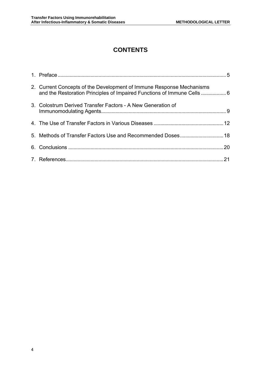## **CONTENTS**

| 2. Current Concepts of the Development of Immune Response Mechanisms<br>and the Restoration Principles of Impaired Functions of Immune Cells  6 |  |
|-------------------------------------------------------------------------------------------------------------------------------------------------|--|
| 3. Colostrum Derived Transfer Factors - A New Generation of                                                                                     |  |
|                                                                                                                                                 |  |
|                                                                                                                                                 |  |
|                                                                                                                                                 |  |
|                                                                                                                                                 |  |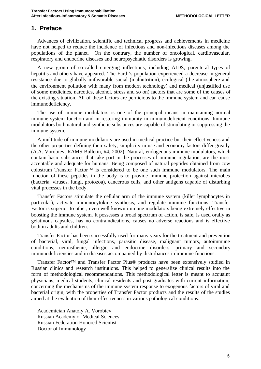## **1. Preface**

Advances of civilization, scientific and technical progress and achievements in medicine have not helped to reduce the incidence of infectious and non-infectious diseases among the populations of the planet. On the contrary, the number of oncological, cardiovascular, respiratory and endocrine diseases and neuropsychiatic disorders is growing.

A new group of so-called emerging inflections, including AIDS, parenteral types of hepatitis and others have appeared. The Earth's population experienced a decrease in general resistance due to globally unfavorable social (malnutrition), ecological (the atmosphere and the environment pollution with many from modern technology) and medical (unjustified use of some medicines, narcotics, alcohol, stress and so on) factors that are some of the causes of the existing situation. All of these factors are pernicious to the immune system and can cause immunodeficiency.

The use of immune modulators is one of the principal means in maintaining normal immune system function and in restoring immunity in immunodeficient conditions. Immune modulators both natural and synthetic substances are capable of stimulating or suppressing the immune system.

A multitude of immune modulators are used in medical practice but their effectiveness and the other properties defining their safety, simplicity in use and economy factors differ greatly (A.A. Vorobiev, RAMS Bulletin, #4, 2002). Natural, endogenous immune modulators, which contain basic substances that take part in the processes of immune regulation, are the most acceptable and adequate for humans. Being composed of natural peptides obtained from cow colostrum Transfer Factor™ is considered to be one such immune modulators. The main function of these peptides in the body is to provide immune protection against microbes (bacteria, viruses, fungi, protozoa), cancerous cells, and other antigens capable of disturbing vital processes in the body.

Transfer Factors stimulate the cellular arm of the immune system (killer lymphocytes in particular), activate immunocytokine synthesis, and regulate immune functions. Transfer Factor is superior to other, even well known immune modulators being extremely effective in boosting the immune system. It possesses a broad spectrum of action, is safe, is used orally as gelatinous capsules, has no contraindications, causes no adverse reactions and is effective both in adults and children.

Transfer Factor has been successfully used for many years for the treatment and prevention of bacterial, viral, fungal infections, parasitic disease, malignant tumors, autoimmune conditions, neurasthenic, allergic and endocrine disorders, primary and secondary immunodeficiencies and in diseases accompanied by disturbances in immune functions.

Transfer Factor™ and Transfer Factor Plus® products have been extensively studied in Russian clinics and research institutions. This helped to generalize clinical results into the form of methodological recommendations. This methodological letter is meant to acquaint physicians, medical students, clinical residents and post graduates with current information, concerning the mechanisms of the immune system response to exogenous factors of viral and bacterial origin, with the properties of Transfer Factor products and the results of the studies aimed at the evaluation of their effectiveness in various pathological conditions.

Academician Anatoly A. Vorobiev Russian Academy of Medical Sciences Russian Federation Honored Scientist Doctor of Immunology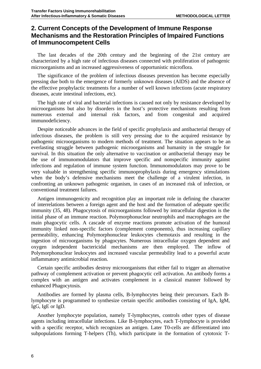## **2. Current Concepts of the Development of Immune Response Mechanisms and the Restoration Principles of Impaired Functions of Immunocompetent Cells**

The last decades of the 20th century and the beginning of the 21st century are characterized by a high rate of infectious diseases connected with proliferation of pathogenic microorganisms and an increased aggressiveness of opportunistic microflora.

The significance of the problem of infectious diseases prevention has become especially pressing due both to the emergence of formerly unknown diseases (AIDS) and the absence of the effective prophylactic treatments for a number of well known infections (acute respiratory diseases, acute intestinal infections, etc).

The high rate of viral and bacterial infections is caused not only by resistance developed by microorganisms but also by disorders in the host's protective mechanisms resulting from numerous external and internal risk factors, and from congenital and acquired immunodeficiency.

Despite noticeable advances in the field of specific prophylaxis and antibacterial therapy of infectious diseases, the problem is still very pressing due to the acquired resistance by pathogenic microorganisms to modern methods of treatment. The situation appears to be an everlasting struggle between pathogenic microorganisms and humanity in the struggle for survival. In this situation the only alternative to vaccination or antibacterial therapy may be the use of immunomodulators that improve specific and nonspecific immunity against infections and regulation of immune system function. Immunomodulators may prove to be very valuable in strengthening specific immunoprophylaxis during emergency stimulations when the body's defensive mechanisms meet the challenge of a virulent infection, in confronting an unknown pathogenic organism, in cases of an increased risk of infection, or conventional treatment failures.

Antigen immunogenicity and recognition play an important role in defining the character of interrelations between a foreign agent and the host and the formation of adequate specific immunity (35, 48). Phagocytosis of microorganisms followed by intracellular digestion is the initial phase of an immune reaction. Polymorphonuclear neutrophils and macrophages are the main phagocytic cells. A cascade of enzyme reactions promote activation of the humoral immunity linked non-specific factors (complement components), thus increasing capillary permeability, enhancing Polymorphonuclear leukocytes chemotaxis and resulting in the ingestion of microorganisms by phagocytes. Numerous intracellular oxygen dependent and oxygen independent bactericidal mechanisms are then employed. The inflow of Polymorphonuclear leukocytes and increased vascular permeability lead to a powerful acute inflammatory antimicrobial reaction.

Certain specific antibodies destroy microorganisms that either fail to trigger an alternative pathway of complement activation or prevent phagocytic cell activation. An antibody forms a complex with an antigen and activates complement in a classical manner followed by enhanced Phagocytosis.

Antibodies are formed by plasma cells, B-lymphocytes being their precursors. Each Blymphocyte is programmed to synthesize certain specific antibodies consisting of IgA, IgM, IgG, IgE or IgD.

Another lymphocyte population, namely T-lymphocytes, controls other types of disease agents including intracellular infections. Like B-lymphocytes, each T-lymphocyte is provided with a specific receptor, which recognizes an antigen. Later T0-cells are differentiated into subpopulations forming T-helpers (Th), which participate in the formation of cytotoxic T-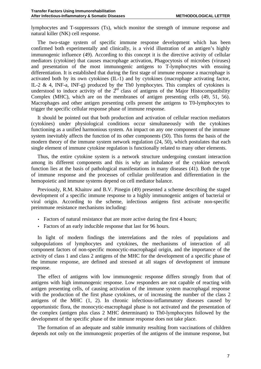lymphocytes and T-suppressors (Ts), which monitor the strength of immune response and natural killer (NK) cell response.

The two-stage system of specific immune response development which has been confirmed both experimentally and clinically, is a vivid illustration of an antigen's highly immunogenic influence (49). According to this concept it is the directive activity of cellular mediators (cytokine) that causes macrophage activation, Phagocytosis of microbes (viruses) and presentation of the most immunogenic antigens to T-lymphocytes with ensuing differentiation. It is established that during the first stage of immune response a macrophage is activated both by its own cytokines (IL-1) and by cytokines (macrophage activating factor, IL-2 & 4, INF-a, INF-g) produced by the Th0 lymphocytes. This complex of cytokines is understood to induce activity of the  $2<sup>nd</sup>$  class of antigens of the Major Histocompatibility Complex (MHC), which are on the membranes of antigen presenting cells (49, 51, 56). Macrophages and other antigen presenting cells present the antigens to T0-lymphocytes to trigger the specific cellular response phase of immune response.

It should be pointed out that both production and activation of cellular reaction mediators (cytokines) under physiological conditions occur simultaneously with the cytokines functioning as a unified harmonious system. An impact on any one component of the immune system inevitably affects the function of its other components (50). This forms the basis of the modern theory of the immune system network regulation (24, 50), which postulates that each single element of immune cytokine regulation is functionally related to many other elements.

Thus, the entire cytokine system is a network structure undergoing constant interaction among its different components and this is why an imbalance of the cytokine network function lies at the basis of pathological manifestations in many diseases (41). Both the type of immune response and the processes of cellular proliferation and differentiation in the hemopoietic and immune systems depend on cell mediator balance.

Previously, R.M. Khaitov and B.V. Pinegin (49) presented a scheme describing the staged development of a specific immune response to a highly immunogenic antigen of bacterial or viral origin. According to the scheme, infectious antigens first activate non-specific preimmune resistance mechanisms including:

- Factors of natural resistance that are more active during the first 4 hours;
- Factors of an early inducible response that last for 96 hours.

In light of modern findings the interrelations and the roles of populations and subpopulations of lymphocytes and cytokines, the mechanisms of interaction of all component factors of non-specific monocytic-macrophagal origin, and the importance of the activity of class 1 and class 2 antigens of the MHC for the development of a specific phase of the immune response, are defined and stressed at all stages of development of immune response.

The effect of antigens with low immunogenic response differs strongly from that of antigens with high immunogenic response. Low responders are not capable of reacting with antigen presenting cells, of causing activation of the immune system macrophagal response with the production of the first phase cytokines, or of increasing the number of the class 2 antigens of the MHC (1, 2). In chronic infectious-inflammatory diseases caused by opportunistic flora, the monocytic-macrophagal phase is not activated and the presentation of the complex (antigen plus class 2 MHC determinant) to Th0-lymphocytes followed by the development of the specific phase of the immune response does not take place.

The formation of an adequate and stable immunity resulting from vaccinations of children depends not only on the immunogenic properties of the antigens of the immune response, but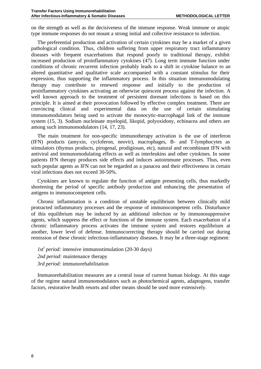on the strength as well as the decisiveness of the immune response. Weak immune or atopic type immune responses do not mount a strong initial and collective resistance to infection.

The preferential production and activation of certain cytokines may be a market of a given pathological condition. Thus, children suffering from upper respiratory tract inflammatory diseases with frequent exacerbations that respond poorly to traditional therapy, exhibit increased production of proinflammatory cytokines (47). Long term immune function under conditions of chronic recurrent infection probably leads to a shift in cytokine balance to an altered quantitative and qualitative scale accompanied with a constant stimulus for their expression, thus supporting the inflammatory process. In this situation immunomodulating therapy may contribute to renewed response and initially to the production of proinflammatory cytokines activating an otherwise quiescent process against the infection. A well known approach to the treatment of persistent dormant infections is based on this principle. It is aimed at their provocation followed by effective complex treatment. There are convincing clinical and experimental data on the use of certain stimulating immunomodulators being used to activate the monocytic-macrophagal link of the immune system (15, 3). Sodium nucleinate myelopid, likopid, polyoxidony, echinacea and others are among such immunomodulators (14, 17, 23).

The main treatment for non-specific immunotherapy activation is the use of interferon (IFN) products (amyxin, cycloferon, neovir), macrophages, B- and T-lymphocytes as stimulators (thymus products, pirogenal, prodigiosan, etc), natural and recombinant IFN with antiviral and immunomodulating effects as well as interleukins and other cytokines. In some patients IFN therapy produces side effects and induces autoimmune processes. Thus, even such popular agents as IFN can not be regarded as a panacea and their effectiveness in certain viral infections does not exceed 30-50%.

Cytokines are known to regulate the function of antigen presenting cells, thus markedly shortening the period of specific antibody production and enhancing the presentation of antigens to immunocompetent cells.

Chronic inflammation is a condition of unstable equilibrium between clinically mild protracted inflammatory processes and the response of immunocompetent cells. Disturbance of this equilibrium may be induced by an additional infection or by immunosuppressive agents, which suppress the effect or functions of the immune system. Each exacerbation of a chronic inflammatory process activates the immune system and restores equilibrium at another, lower level of defense. Immunocorrecting therapy should be carried out during remission of these chronic infectious-inflammatory diseases. It may be a three-stage regiment:

*1st<sup>t</sup> period:* intensive immunostimulation (20-30 days) *2nd period:* maintenance therapy *3rd period:* immunorehabilitation

Immunorehabilitation measures are a central issue of current human biology. At this stage of the regime natural immunomodulators such as photochemical agents, adaptogens, transfer factors, restorative health resorts and other means should be used more extensively.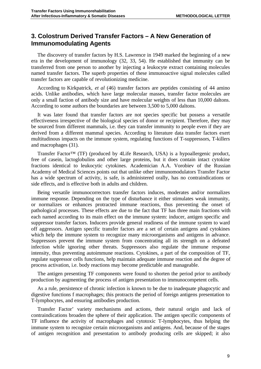## **3. Colostrum Derived Transfer Factors – A New Generation of Immunomodulating Agents**

The discovery of transfer factors by H.S. Lawrence in 1949 marked the beginning of a new era in the development of immunology (32, 33, 54). He established that immunity can be transferred from one person to another by injecting a leukocyte extract containing molecules named transfer factors. The superb properties of these immunoactive signal molecules called transfer factors are capable of revolutionizing medicine.

According to Kirkpatrick, *et al* (46) transfer factors are peptides consisting of 44 amino acids. Unlike antibodies, which have large molecular masses, transfer factor molecules are only a small faction of antibody size and have molecular weights of less than 10,000 daltons. According to some authors the boundaries are between 3,500 to 5,000 daltons.

It was later found that transfer factors are not species specific but possess a versatile effectiveness irrespective of the biological species of donor or recipient. Therefore, they may be sourced from different mammals, i.e. they can transfer immunity to people even if they are derived from a different mammal species. According to literature data transfer factors exert multitudinous impacts on the immune system, regulating functions of T-suppressors, T-killers and macrophages (31).

Transfer Factor™ (TF) (produced by 4Life Research, USA) is a hypoallergenic product, free of casein, lactoglobulins and other large proteins, but it does contain intact cytokine fractions identical to leukocytic cytokines. Academician A.A. Vorobiev of the Russian Academy of Medical Sciences points out that unlike other immunomodulators Transfer Factor has a wide spectrum of activity, is safe, is administered orally, has no contraindications or side effects, and is effective both in adults and children.

Being versatile immunocorrectors transfer factors induces, moderates and/or normalizes immune response. Depending on the type of disturbance it either stimulates weak immunity, or normalizes or enhances protracted immune reactions, thus preventing the onset of pathological processes. These effects are due to the fact that TF has three main fractions with each named according to its main effect on the immune system: inducer, antigen specific and suppressor transfer factors. Inducers provide general readiness of the immune system to ward off aggressors. Antigen specific transfer factors are a set of certain antigens and cytokines which help the immune system to recognize many microorganisms and antigens in advance. Suppressors prevent the immune system from concentrating all its strength on a defeated infection while ignoring other threats. Suppressors also regulate the immune response intensity, thus preventing autoimmune reactions. Cytokines, a part of the composition of TF, regulate suppressor cells functions, help maintain adequate immune reaction and the degree of process activation, i.e. body reactions may become predictable and manageable.

The antigen presenting TF components were found to shorten the period prior to antibody production by augmenting the process of antigen presentation to immunocompetent cells.

As a rule, persistence of chronic infection is known to be due to inadequate phagocytic and digestive functions f macrophages; this protracts the period of foreign antigens presentation to T-lymphocytes, and ensuring antibodies production.

Transfer Factor' variety mechanisms and actions, their natural origin and lack of contraindications broaden the sphere of their application. The antigen specific components of TF influence the activity of macrophages and cytotoxic T-lymphocytes, thus helping the immune system to recognize certain microorganisms and antigens. And, because of the stages of antigen recognition and presentation to antibody producing cells are skipped; it also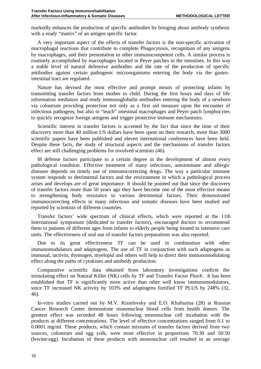markedly enhances the production of specific antibodies by bringing about antibody synthesis with a ready "matrix" of an antigen specific factor.

A very important aspect of the effects of transfer factors is the non-specific activation of macrophagal reactions that contribute to complete Phagocytosis, recognition of any antigens by macrophages, and their presentation to other immunocompetent cells. A similar process is routinely accomplished by macrophages located in Peyer patches in the intestines. In this way a stable level of natural defensive antibodies and the rate of the production of specific antibodies against certain pathogenic microorganisms entering the body via the gastrointestinal tract are regulated.

Nature has devised the most effective and prompt means of protecting infants by transmitting transfer factors from mother to child. During the first hours and days of life information mediators and ready immunoglobulin antibodies entering the body of a newborn via colostrum providing protection not only as a first aid measure upon the encounter of infectious pathogens, but also to "teach" intestinal macrophages and Peyer patch lymphocytes to quickly recognize foreign antigens and trigger protective immune mechanisms.

Scientific interest in transfer factors is accented by the fact that since the time of their discovery more than 40 million US dollars have been spent on their research, more than 3000 scientific papers have been published and eleven international conferences have been held. Despite these facts, the study of structural aspects and the mechanisms of transfer factors effect are still challenging problems for involved scientists (46).

I8 defense factors participate to a certain degree in the development of almost every pathological condition. Effective treatment of many infectious, autoimmune and allergic diseases depends on timely use of immunocorrecting drugs. The way a particular immune system responds to detrimental factors and the environment in which a pathological process arises and develops are of great importance. It should be pointed out that since the discovery of transfer factors more than 50 years ago they have become one of the most effective means to strengthening body resistance to various detrimental factors. Their demonstrated immunocorrecting effects in many infectious and somatic diseases have been studied and reported by scientists of different countries.

Transfer factors' wide spectrum of clinical effects, which were reported at the 11th International symposium (dedicated to transfer factors), encouraged doctors to recommend them to patients of different ages from infants to elderly people being treated in intensive care units. The effectiveness of oral use of transfer factors preparations was also reported.

Due to its great effectiveness TF can be used in combination with other immunomodulators and adaptogens. The use of TF in conjunction with such adaptogens as immunal, tactivin, thymogen, myelopid and others will help to direct their immunomodulating effect along the paths of cytokines and antibody production.

Comparative scientific data obtained from laboratory investigations confirm the stimulating effect on Natural Killer (NK) cells by TF and Transfer Factor Plus®. It has been established that TF is significantly more active than other well know immunomodulators, since TF increased NK activity by 103% and adaptogens fortified TF PLUS by 248% (32, 46).

In-vitro studies carried out by M.V. Kisielevsky and E.O. Khalturina (28) at Russian Cancer Research Center demonstrate mononuclear blood cells from health donors. The greatest effect was recorded 48 hours following mononuclear cell incubation with the products at different concentrations. The level of effective concentrations ranged from 0.1 to 0.0001 mg/ml. These products, which contain mixtures of transfer factors derived from two sources, colostrum and egg yolk, were most effective in proportions 70:30 and 50:50 (bovine:egg). Incubation of these products with mononuclear cell resulted in an average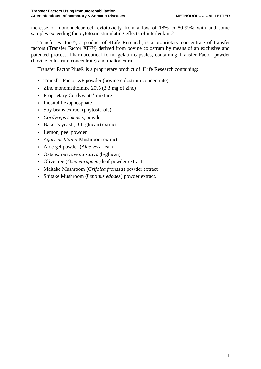increase of mononuclear cell cytotoxicity from a low of 18% to 80-99% with and some samples exceeding the cytotoxic stimulating effects of interleukin-2.

Transfer Factor™, a product of 4Life Research, is a proprietary concentrate of transfer factors (Transfer Factor XF™) derived from bovine colostrum by means of an exclusive and patented process. Pharmaceutical form: gelatin capsules, containing Transfer Factor powder (bovine colostrum concentrate) and maltodextrin.

Transfer Factor Plus® is a proprietary product of 4Life Research containing:

- Transfer Factor XF powder (bovine colostrum concentrate)
- Zinc monomethoinine 20% (3.3 mg of zinc)
- Proprietary Cordyvants' mixture
- Inositol hexaphosphate
- Soy beans extract (phytosterols)
- *Cordyceps sinensis*, powder
- Baker's yeast (D-b-glucan) extract
- Lemon, peel powder
- *Agaricus blazeii* Mushroom extract
- Aloe gel powder (*Aloe vera* leaf)
- Oats extract, *avena sativa* (b-glucan)
- Olive tree (*Olea europaea*) leaf powder extract
- Maitake Mushroom (*Grifolea frondsa*) powder extract
- Shitake Mushroom (*Lentinus edodes*) powder extract.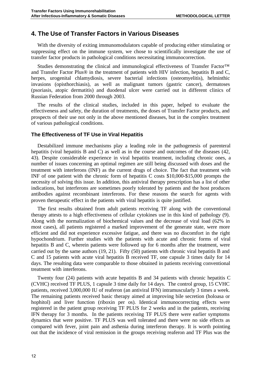### **4. The Use of Transfer Factors in Various Diseases**

With the diversity of exiting immunomodulators capable of producing either stimulating or suppressing effect on the immune system, we chose to scientifically investigate the use of transfer factor products in pathological conditions necessitating immunocorrection.

Studies demonstrating the clinical and immunological effectiveness of Transfer Factor™ and Transfer Factor Plus® in the treatment of patients with HIV infection, hepatitis B and C, herpes, urogenital chlamydiosis, severe bacterial infections (osteomyelitis), helminthic invasions (opisthorchiasis), as well as malignant tumors (gastric cancer), dermatoses (psoriasis, atopic dermatitis) and duodenal ulcer were carried out in different clinics of Russian Federation from 2000 through 2003.

The results of the clinical studies, included in this paper, helped to evaluate the effectiveness and safety, the duration of treatments, the doses of Transfer Factor products, and prospects of their use not only in the above mentioned diseases, but in the complex treatment of various pathological conditions.

#### **The Effectiveness of TF Use in Viral Hepatitis**

Destabilized immune mechanisms play a leading role in the pathogenesis of parenteral hepatitis (viral hepatitis B and C) as well as in the course and outcomes of the diseases (42, 43). Despite considerable experience in viral hepatitis treatment, including chronic ones, a number of issues concerning an optimal regimen are still being discussed with doses and the treatment with interferons (INF) as the current drugs of choice. The fact that treatment with INF of one patient with the chronic form of hepatitis C costs \$10,000-\$15,000 prompts the necessity of solving this issue. In addition, this antiviral therapy prescription has a list of other indications, but interferons are sometimes poorly tolerated by patients and the host produces antibodies against recombinant interferons. For these reasons the search for agents with proven therapeutic effect in the patients with viral hepatitis is quite justified.

The first results obtained from adult patients receiving TF along with the conventional therapy attests to a high effectiveness of cellular cytokines use in this kind of pathology (9). Along with the normalization of biochemical values and the decrease of viral load (62% in most cases), all patients registered a marked improvement of the generate state, were more efficient and did not experience excessive fatigue, and there was no discomfort in the right hypochondrium. Further studies with the patients with acute and chronic forms of viral hepatitis B and C, wherein patients were followed up for 6 months after the treatment, were carried out by the same authors (19, 21). Fifty (50) patients with chronic viral hepatitis B and C and 15 patients with acute viral hepatitis B received TF, one capsule 3 times daily for 14 days. The resulting data were comparable to those obtained in patients receiving conventional treatment with interferons.

Twenty four (24) patients with acute hepatitis B and 34 patients with chronic hepatitis C (CVHC) received TF PLUS, 1 capsule 3 time daily for 14 days. The control group, 15 CVHC patients, received 3,000,000 IU of reaferon (an antiviral IFN) intramuscularly 3 times a week. The remaining patients received basic therapy aimed at improving bile secretion (holoasa or hophitol) and liver function (riboxin per os). Identical immunocorrecting effects were registered in the patient group receiving TF PLUS for 2 weeks and in the patients, receiving IFN therapy for 3 months. In the patients receiving TF PLUS there were earlier symptoms dynamics that were positive. TF PLUS was well tolerated and there were no side effects as compared with fever, joint pain and asthenia during interferon therapy. It is worth pointing out that the incidence of viral remission in the groups receiving reaferon and TF Plus was the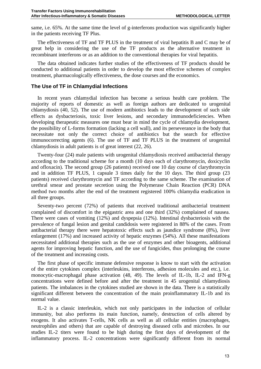same, i.e. 65%. At the same time the level of g-interferons production was significantly higher in the patients receiving TF Plus.

The effectiveness of TF and TF PLUS in the treatment of viral hepatitis B and C may be of great help in considering the use of the TF products as the alternative treatment in recombinant interferons or as an addition to the conventional therapies for viral hepatitis.

The data obtained indicates further studies of the effectiveness of TF products should be conducted to additional patients in order to develop the most effective schemes of complex treatment, pharmacologically effectiveness, the dose courses and the economics.

#### **The Use of TF in Chlamydial Infections**

In recent years chlamydial infection has become a serious health care problem. The majority of reports of domestic as well as foreign authors are dedicated to urogenital chlamydiosis (40, 52). The use of modern antibiotics leads to the development of such side effects as dysbacteriosis, toxic liver lesions, and secondary immunodeficiencies. When developing therapeutic measures one must bear in mind the cycle of chlamydia development, the possibility of L-forms formation (lacking a cell wall), and its perseverance in the body that necessitate not only the correct choice of antibiotics but the search for effective immunocorrecting agents (6). The use of TF and TF PLUS in the treatment of urogenital chlamydiosis in adult patients is of great interest (22, 26).

Twenty-four (24) male patients with urogenital chlamydiosis received antibacterial therapy according to the traditional scheme for a month (10 days each of clarythromycin, doxicyclin and ofloxacin). The second group (26 patients) received one 10 day course of clarythromycin and in addition TF PLUS, 1 capsule 3 times daily for the 10 days. The third group (23 patients) received clarythromycin and TF according to the same scheme. The examination of urethral smear and prostate secretion using the Polymerase Chain Reaction (PCR) DNA method two months after the end of the treatment registered 100% chlamydia eradication in all three groups.

Seventy-two percent (72%) of patients that received traditional antibacterial treatment complained of discomfort in the epigastric area and one third (32%) complained of nausea. There were cases of vomiting (12%) and dyspepsia (12%). Intestinal dysbacteriosis with the prevalence of fungal lesion and genital candidosis were registered in 88% of the cases. From antibacterial therapy there were hepatotoxic effects such as jaundice syndrome (8%), liver enlargement (17%) and increased activity of hepatic enzymes (54%). All these manifestations necessitated additional therapies such as the use of enzymes and other bioagents, additional agents for improving hepatic function, and the use of fungicides, thus prolonging the course of the treatment and increasing costs.

The first phase of specific immune defensive response is know to start with the activation of the entire cytokines complex (interleukins, interferons, adhesion molecules and etc.), i.e. monocytic-macrophagal phase activation (48, 49). The levels of IL-1b, IL-2 and IFN-g concentrations were defined before and after the treatment in 45 urogenital chlamydiosis patients. The imbalances in the cytokines studied are shown in the data. There is a statistically significant different between the concentration of the main proinflammatory IL-1b and its normal value.

IL-2 is a classic interleukin, which not only participates in the induction of cellular immunity, but also performs its main function, namely, destruction of cells altered by exogens. It also activates T-cells, NK cells as well as all cellular entities (macrophages, neutrophiles and others) that are capable of destroying diseased cells and microbes. In our studies IL-2 titers were found to be high during the first days of development of the inflammatory process. IL-2 concentrations were significantly different from its normal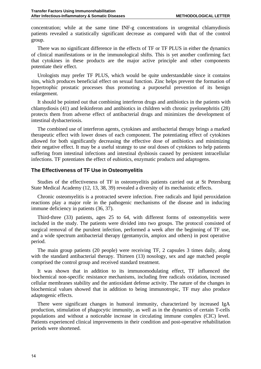concentration; while at the same time INF-g concentrations in urogenital chlamydiosis patients revealed a statistically significant decrease as compared with that of the control group.

There was no significant difference in the effects of TF or TF PLUS in either the dynamics of clinical manifestations or in the immunological shifts. This is yet another confirming fact that cytokines in these products are the major active principle and other components potentiate their effect.

Urologists may prefer TF PLUS, which would be quite understandable since it contains sins, which produces beneficial effect on sexual function. Zinc helps prevent the formation of hypertrophic prostatic processes thus promoting a purposeful prevention of its benign enlargement.

It should be pointed out that combining interferon drugs and antibiotics in the patients with chlamydiosis (41) and leikinferon and antibiotics in children with chronic pyelonephritis (28) protects them from adverse effect of antibacterial drugs and minimizes the development of intestinal dysbacteriosis.

The combined use of interferon agents, cytokines and antibacterial therapy brings a marked therapeutic effect with lower doses of each component. The potentiating effect of cytokines allowed for both significantly decreasing the effective dose of antibiotics and minimizing their negative effect. It may be a useful strategy to use oral doses of cytokines to help patients suffering from intestinal infections and intestinal dysbiosis caused by persistent intracellular infections. TF potentiates the effect of eubiotics, enzymatic products and adaptogens.

#### **The Effectiveness of TF Use in Osteomyelitis**

Studies of the effectiveness of TF in osteomyelitis patients carried out at St Petersburg State Medical Academy (12, 13, 38, 39) revealed a diversity of its mechanistic effects.

Chronic osteomyelitis is a protracted severe infection. Free radicals and lipid peroxidation reactions play a major role in the pathogenic mechanisms of the disease and in inducing immune deficiency in patients (36, 37).

Third-three (33) patients, ages 25 to 64, with different forms of osteomyelitis were included in the study. The patients were divided into two groups. The protocol consisted of surgical removal of the purulent infection, performed a week after the beginning of TF use, and a wide spectrum antibacterial therapy (gentamycin, ampiox and others) in post operative period.

The main group patients (20 people) were receiving TF, 2 capsules 3 times daily, along with the standard antibacterial therapy. Thirteen (13) nosology, sex and age matched people comprised the control group and received standard treatment.

It was shown that in addition to its immunomodulating effect, TF influenced the biochemical non-specific resistance mechanisms, including free radicals oxidation, increased cellular membranes stability and the antioxidant defense activity. The nature of the changes in biochemical values showed that in addition to being immunotropic, TF may also produce adaptogenic effects.

There were significant changes in humoral immunity, characterized by increased IgA production, stimulation of phagocytic immunity, as well as in the dynamics of certain T-cells populations and without a noticeable increase in circulating immune complex (CIC) level. Patients experienced clinical improvements in their condition and post-operative rehabilitation periods were shortened.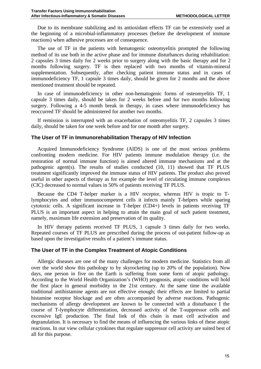Due to its membrane stabilizing and its antioxidant effects TF can be extensively used at the beginning of a microbial-inflammatory processes (before the development of immune reactions) when adhesive processes are of consequence.

The use of TF in the patients with hematogenic osteomyelitis prompted the following method of its use both in the active phase and for immune disturbances during rehabilitation: 2 capsules 3 times daily for 2 weeks prior to surgery along with the basic therapy and for 2 months following surgery. TF is then replaced with two months of vitamin-mineral supplementation. Subsequently, after checking patient immune status and in cases of immunodeficiency TF, 1 capsule 3 times daily, should be given for 2 months and the above mentioned treatment should be repeated.

In case of immunodeficiency in other non-hematogenic forms of osteomyelitis TF, 1 capsule 3 times daily, should be taken for 2 weeks before and for two months following surgery. Following a 4-5 month break in therapy, in cases where immunodeficiency has reoccurred TF should be administered for another two months.

If remission is interrupted with an exacerbation of osteomyelitis TF, 2 capsules 3 times daily, should be taken for one week before and for one month after surgery.

#### **The User of TF in Immunorehabilitation Therapy of HIV Infection**

Acquired Immunodeficiency Syndrome (AIDS) is one of the most serious problems confronting modern medicine. For HIV patients immune modulation therapy (i.e. the restoration of normal immune function) is aimed altered immune mechanisms and at the pathogenic agent(s). The results of studies conducted (10, 11) showed that TF PLUS treatment significantly improved the immune status of HIV patients. The product also proved useful in other aspects of therapy as for example the level of circulating immune complexes (CIC) decreased to normal values in 50% of patients receiving TF PLUS.

Because the CD4 T-helper marker is a HIV receptor, whereas HIV is tropic to Tlymphocytes and other immunocompetent cells it infects mainly T-helpers while sparing cytotoxic cells. A significant increase in T-helper (CD4+) levels in patients receiving TF PLUS is an important aspect in helping to attain the main goal of such patient treatment, namely, maximum life extension and preservation of its quality.

In HIV therapy patients received TF PLUS, 1 capsule 3 times daily for two weeks. Repeated courses of TF PLUS are prescribed during the process of out-patient follow-up as based upon the investigative results of a patient's immune status.

#### **The User of TF in the Complex Treatment of Atopic Conditions**

Allergic diseases are one of the many challenges for modern medicine. Statistics from all over the world show this pathology to by skyrocketing (up to 20% of the population). Now days, one person in five on the Earth is suffering from some form of atopic pathology. According to the World Health Organization's (WHO) prognosis, atopic conditions will hold the first place in general morbidity in the 21st century. At the same time the available traditional antihistamine agents are not effective enough; their effects are limited to partial histamine receptor blockage and are often accompanied by adverse reactions. Pathogenic mechanisms of allergy development are known to be connected with a disturbance I the course of T-lymphocyte differentiation, decreased activity of the T-suppressor cells and excessive IgE production. The final link of this chain is mast cell activation and degranulation. It is necessary to find the means of influencing the various links of these atopic reactions. In our view cellular cytokines that regulate suppressor cell activity are suited best of all for this purpose.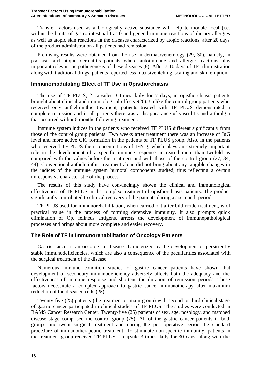Transfer factors used as a biologically active substance will help to module local (i.e. within the limits of gastro-intestinal tract0 and general immune reactions of dietary allergies as well as atopic skin reactions in the diseases characterized by atopic reactions, after 20 days of the product administration all patients had remission.

Promising results were obtained from TF use in dermatovenerology (29, 30), namely, in psoriasis and atopic dermatitis patients where autoimmune and allergic reactions play important roles in the pathogenesis of these diseases (8). After 7-10 days of TF administration along with traditional drugs, patients reported less intensive itching, scaling and skin eruption.

#### **Immunomodulating Effect of TF Use in Opisthorchiasis**

The use of TF PLUS, 2 capsules 3 times daily for 7 days, in opisthorchiasis patients brought about clinical and immunological effects 920). Unlike the control group patients who received only anthelminthic treatment, patients treated with TF PLUS demonstrated a complete remission and in all patients there was a disappearance of vasculitis and arthralgia that occurred within 6 months following treatment.

Immune system indices in the patients who received TF PLUS different significantly from those of the control group patients. Two weeks after treatment there was an increase of IgG level and more active CIC formation in the patients of TF PLUS group. Also, in the patients who received TF PLUS their concentrations of IFN-g, which plays an extremely important role in the development of a specific immune response, increased more than twofold as compared with the values before the treatment and with those of the control group (27, 34, 44). Conventional anthelminthic treatment alone did not bring about any tangible changes in the indices of the immune system humoral components studied, thus reflecting a certain unresponsive characteristic of the process.

The results of this study have convincingly shown the clinical and immunological effectiveness of TF PLUS in the complex treatment of opisthorchiasis patients. The product significantly contributed to clinical recovery of the patients during a six-month period.

TF PLUS used for immunorehabilitation, when carried out after bilthricide treatment, is of practical value in the process of forming defensive immunity. It also prompts quick elimination of Op. felineus antigens, arrests the development of immunopathological processes and brings about more complete and easier recovery.

#### **The Role of TF in Immunorehabilitation of Oncology Patients**

Gastric cancer is an oncological disease characterized by the development of persistently stable immunodeficiencies, which are also a consequence of the peculiarities associated with the surgical treatment of the disease.

Numerous immune condition studies of gastric cancer patients have shown that development of secondary immunodeficiency adversely affects both the adequacy and the effectiveness of immune response and shortens the duration of remission periods. These factors necessitate a complex approach to gastric cancer immunotherapy after maximum reduction of the diseased cells (25).

Twenty-five (25) patients (the treatment or main group) with second or third clinical stage of gastric cancer participated in clinical studies of TF PLUS. The studies were conducted in RAMS Cancer Research Center. Twenty-five (25) patients of sex, age, nosology, and matched disease stage comprised the control group (25). All of the gastric cancer patients in both groups underwent surgical treatment and during the post-operative period the standard procedure of immunotherapeutic treatment. To stimulate non-specific immunity, patients in the treatment group received TF PLUS, 1 capsule 3 times daily for 30 days, along with the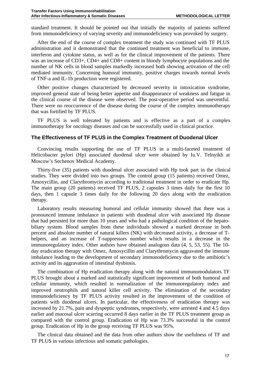standard treatment. It should be pointed out that initially the majority of patients suffered from immunodeficiency of varying severity and immunodeficiency was provoked by surgery.

After the end of the course of complex treatment the study was continued with TF PLUS administration and it demonstrated that the continued treatment was beneficial to immune, interferon and cytokine status, as well as for the clinical improvement of the patients. There was an increase of CD3+, CD4+ and CD8+ content in bloody lymphocyte populations and the number of NK cells in blood samples markedly increased both showing activation of the cell mediated immunity. Concerning humoral immunity, positive charges towards normal levels of TNF-a and IL-1b production were registered.

Other positive changes characterized by decreased severity in intoxication syndrome, improved general state of being better appetite and disappearance of weakness and fatigue in the clinical course of the disease were observed. The post-operative period was uneventful. There were no reoccurrence of the disease during the course of the complex immunotherapy that was fortified by TF PLUS.

TF PLUS is well tolerated by patients and is effective as a part of a complex immunotherapy for oncology diseases and can be successfully used in clinical practice.

#### **The Effectiveness of TF PLUS in the Complex Treatment of Duodenal Ulcer**

Convincing results supporting the use of TF PLUS in a multi-faceted treatment of Helicobacter pylori (Hp) associated duodenal ulcer were obtained by Iu.V. Telnyikh at Moscow's Sechenov Medical Academy.

Thirty-five (35) patients with duodenal ulcer associated with Hp took part in the clinical studies. They were divided into two groups. The control group (15 patients) received Omez, Amoxycillin, and Clarythromycin according to traditional treatment in order to eradicate Hp. The main group (20 patients) received TF PLUS, 2 capsules 3 times daily for the first 10 days, then 1 capsule 3 times daily for the following 20 days along with the eradication therapy.

Laboratory results measuring humoral and cellular immunity showed that there was a pronounced immune imbalance in patients with duodenal ulcer with associated Hp disease that had persisted for more than 10 years and who had a pathological condition of the hepatobiliary system. Blood samples from these individuals showed a marked decrease in both percent and absolute number of natural killers (NK) with decreased activity, a decrease of Thelpers, and an increase of T-suppressors number which results in a decrease in the immunoregulatory index. Other authors have obtained analogous data (4, 5, 53, 55). The 10 day eradication therapy with Omez, Amoxycillin and Clarythromycin aggravated the immune imbalance leading to the development of secondary immunodeficiency due to the antibiotic's activity and its aggravation of intestinal dysbiosis.

The combination of Hp eradication therapy along with the natural immunomodulators TF PLUS brought about a marked and statistically significant improvement of both humoral and cellular immunity, which resulted in normalization of the immunoregulatory index and improved neutrophils and natural killer cell activity. The elimination of the secondary immunodeficiency by TF PLUS activity resulted in the improvement of the condition of patients with duodenal ulcers. In particular, the effectiveness of eradication therapy was increased by 21.7%, pain and dyspeptic syndromes, respectively, were arrested 4 and 4.5 days earlier and mucosal ulcer scarring occurred 8 days earlier in the TF PLUS treatment group as compared with the control group. Eradication of Hp was 73.3% successful in the control group. Eradication of Hp in the group receiving TF PLUS was 95%.

The clinical data obtained and the data from other authors show the usefulness of TF and TF PLUS in various infectious and somatic pathologies.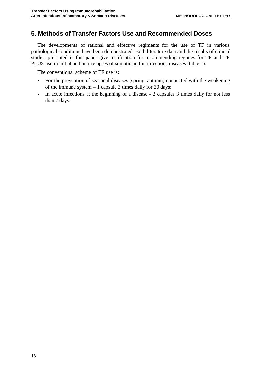## **5. Methods of Transfer Factors Use and Recommended Doses**

The developments of rational and effective regiments for the use of TF in various pathological conditions have been demonstrated. Both literature data and the results of clinical studies presented in this paper give justification for recommending regimes for TF and TF PLUS use in initial and anti-relapses of somatic and in infectious diseases (table 1).

The conventional scheme of TF use is:

- For the prevention of seasonal diseases (spring, autumn) connected with the weakening of the immune system – 1 capsule 3 times daily for 30 days;
- In acute infections at the beginning of a disease 2 capsules 3 times daily for not less than 7 days.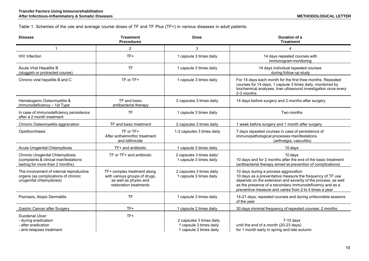Table 1. Schemes of the use and average course doses of TF and TF Plus (TF+) in various diseases in adult patients.

| <b>Disease</b>                                                                                                     | <b>Treatment</b><br><b>Procedures</b>                                                                           | <b>Dose</b>                                                                    | Duration of a<br><b>Treatment</b>                                                                                                                                                                                                                                                        |
|--------------------------------------------------------------------------------------------------------------------|-----------------------------------------------------------------------------------------------------------------|--------------------------------------------------------------------------------|------------------------------------------------------------------------------------------------------------------------------------------------------------------------------------------------------------------------------------------------------------------------------------------|
| 1                                                                                                                  | $\overline{2}$                                                                                                  | 3                                                                              | 4                                                                                                                                                                                                                                                                                        |
| HIV Infection                                                                                                      | TF+                                                                                                             | 1 capsule 3 times daily                                                        | 14 days repeated courses with<br>immunogram monitoring                                                                                                                                                                                                                                   |
| <b>Acute Viral Hepatitis B</b><br>(sluggish or protracted course)                                                  | <b>TF</b>                                                                                                       | 1 capsule 3 times daily                                                        | 14 days individual repeated courses<br>during follow-up study                                                                                                                                                                                                                            |
| Chronic viral hepatitis B and C                                                                                    | TF or TF+                                                                                                       | 1 capsule 3 times daily                                                        | For 14 days each month for the first thee months. Repeated<br>courses for 14 days, 1 capsule 3 times daily, monitored by<br>biochemical analyses, liver ultrasound investigation once every<br>2-3 months.                                                                               |
| Hematogenic Osteomyelitis &<br>immunodeficiency - 1st Type                                                         | TF and basic<br>antibacterial therapy                                                                           | 2 capsules 3 times daily                                                       | 14 days before surgery and 2 months after surgery                                                                                                                                                                                                                                        |
| In case of immunodeficiency persistence<br>after a 2 month treatment                                               | <b>TF</b>                                                                                                       | 1 capsule 3 times daily                                                        | Two months                                                                                                                                                                                                                                                                               |
| Chronic Osteomyelitis aggravation                                                                                  | TF and basic treatment                                                                                          | 2 capsules 3 times daily                                                       | 1 week before surgery and 1 month after surgery                                                                                                                                                                                                                                          |
| Opisthorchiasis                                                                                                    | $TF$ or $TF+$<br>After anthelminthic treatment<br>and bilthricide                                               | 1-2 capsules 3 times daily                                                     | 7 days repeated courses in case of persistence of<br>immunopathological processes manifestations<br>(arthralgia, vasculitis)                                                                                                                                                             |
| <b>Acute Urogenital Chlamydiosis</b>                                                                               | TF+ and antibiotic                                                                                              | 1 capsule 3 times daily                                                        | 10 days                                                                                                                                                                                                                                                                                  |
| <b>Chronic Urogenital Chlamydiosis</b><br>(complaints & clinical manifestations<br>lasting for more than 2 months) | TF or TF+ and antibiotic                                                                                        | 2 capsules 3 times daily/<br>1 capsule 3 times daily                           | 10 days<br>10 days and for 2 months after the end of the basic treatment<br>(antibacterial therapy aimed at prevention of complications)                                                                                                                                                 |
| The involvement of internal reproductive<br>organs (as complications of chronic<br>urogenital chlamydiosis)        | TF+ complex treatment along<br>with various groups of drugs,<br>as well as physio and<br>restoration treatments | 2 capsules 3 times daily<br>1 capsule 3 times daily                            | 10 days during a process aggravation<br>10 days as a preventative measure the frequency of TF use<br>depends on the extension and severity of the process, as well<br>as the presence of a secondary immunodeficiency and as a<br>preventive measure and varies from 2 to 4 times a year |
| Psoriasis, Atopic Dermatitis                                                                                       | <b>TF</b>                                                                                                       | 1 capsule 3 times daily                                                        | 14-21 days; repeated courses and during unfavorable seasons<br>of the year                                                                                                                                                                                                               |
| <b>Gastric Cancer after Surgery</b>                                                                                | TF+                                                                                                             | 1 capsule 2 times daily                                                        | 30 days minimal frequency of repeated courses: 2 months                                                                                                                                                                                                                                  |
| Duodenal Ulcer:<br>- during eradication<br>- after eradication<br>- anti-relapses treatment                        | TF+                                                                                                             | 2 capsules 3 times daily<br>1 capsule 3 times daily<br>1 capsule 2 times daily | $7-10$ days<br>until the end of a month (20-23 days)<br>for 1 month early in spring and late autumn                                                                                                                                                                                      |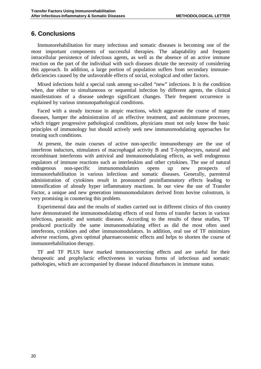## **6. Conclusions**

Immunorehabilitation for many infectious and somatic diseases is becoming one of the most important components of successful therapies. The adaptability and frequent intracellular persistence of infectious agents, as well as the absence of an active immune reaction on the part of the individual with such diseases dictate the necessity of considering this approach. In addition, a large portion of population suffers from secondary immunedeficiencies caused by the unfavorable effects of social, ecological and other factors.

Mixed infections hold a special rank among so-called "new" infections. It is the condition when, due either to simultaneous or sequential infection by different agents, the clinical manifestations of a disease undergo significant changes. Their frequent occurrence is explained by various immunopathological conditions.

Faced with a steady increase in atopic reactions, which aggravate the course of many diseases, hamper the administration of an effective treatment, and autoimmune processes, which trigger progressive pathological conditions, physicians must not only know the basic principles of immunology but should actively seek new immunomodulating approaches for treating such conditions.

At present, the main courses of active non-specific immunotherapy are the use of interferon inductors, stimulators of macrophagal activity B and T-lymphocytes, natural and recombinant interferons with antiviral and immunomodulating effects, as well endogenous regulators of immune reactions such as interleukins and other cytokines. The use of natural endogenous non-specific immunomodulators opens up new prospects of immunorehabilitation in various infectious and somatic diseases. Generally, parenteral administration of cytokines result in pronounced proinflammatory effects leading to intensification of already hyper inflammatory reactions. In our view the use of Transfer Factor, a unique and new generation immunomodulators derived from bovine colostrum, is very promising in countering this problem.

Experimental data and the results of studies carried out in different clinics of this country have demonstrated the immunomodulating effects of oral forms of transfer factors in various infectious, parasitic and somatic diseases. According to the results of these studies, TF produced practically the same immunomodulating effect as did the most often used interferons, cytokines and other immunomodulators. In addition, oral use of TF minimizes adverse reactions, gives optimal pharmaeconomic effects and helps to shorten the course of immunorehabilitation therapy.

TF and TF PLUS have marked immunocorrecting effects and are useful for their therapeutic and prophylactic effectiveness in various forms of infectious and somatic pathologies, which are accompanied by disease induced disturbances in immune status.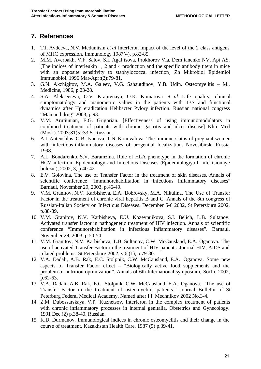## **7. References**

- 1. T.I. Avdeeva, N.V. Medunitsin *et al* Interferon impact of the level of the 2 class antigens of MHC expression. Immunology 1987(4), p.82-85.
- 2. M.M. Averbakh, V.F. Salov, S.I. Agal'tsova, Prokhorov Via, Dem'ianenko NV, Apt AS. [The indices of interleukin 1, 2 and 4 production and the specific antibody titers in mice with an opposite sensitivity to staphylococcal infection] Zh Mikrobiol Epidemiol Immunobiol. 1996 Mar-Apr;(2):79-81.
- 3. G.N. Akzhigitov, M.A. Galeev, V.G. Sahautdinov, Y.B. Udin. Osteomyelitis M., Medicine, 1986, p.23-28.
- 4. S.A. Alekseeieva, O.V. Krapivnaya, O.K. Komarova *et al* Life quality, clinical sumptomatology and manometric values in the patients with IBS and functional dynamics after Hp eradication Helibacter Pylory infection. Russian national congress "Man and drug" 2003, p.93.
- 5. V.M. Arutiunian, E.G. Grigorian. [Effectiveness of using immunomodulators in combined treatment of patients with chronic gastritis and ulcer disease] Klin Med (Mosk). 2003;81(5):33-5. Russian.
- 6. A.I. Autenshlus, O.B. Ivanova, T.N. Konovalova. The immune status of pregnant women with infectious-inflammatory diseases of urogenital localization. Novosibirsk, Russia 1998.
- 7. A.L. Bondarenko, S.V. Baramzina. Role of HLA phenotype in the formation of chronic HCV infection, Epidemiology and Infectious Diseases (Epidemiologiya I infektsionnye bolezni), 2002, 3, p.40-42.
- 8. E.V. Golovina. The use of Transfer Factor in the treatment of skin diseases. Annals of scientific conference "Immunorehabilitation in infectious inflammatory diseases" Barnaul, November 29, 2003, p.46-49.
- 9. V.M. Granitov, N.V. Karbisheva, E.A. Bobrovsky, M.A. Nikulina. The Use of Transfer Factor in the treatment of chronic viral hepatitis B and C. Annals of the 8th congress of Russian-Italian Society on Infectious Diseases. December 5-6 2002, St Petersburg 2002, p.88-89.
- 10. V.M. Granitov, N.V. Karbisheva, E.U. Kozevnuikova, S.I. Belich, L.B. Sultanov. Activated transfer factor in pathogenetic treatment of HIV infection. Annals of scientific conference "Immunorehabilitation in infectious inflammatory diseases". Barnaul, November 29, 2003, p.50-54.
- 11. V.M. Granitov, N.V. Karbisheva, L.B. Sultanov, C.W. McCausland, E.A. Oganova. The use of activated Transfer Factor in the treatment of HIV patients. Journal HIV, AIDS and related problems. St Petersburg 2002, v.6 (1), p.79-80.
- 12. V.A. Dadali, A.B. Rak, E.C. Stolpnik, C.W. McCausland, E.A. Oganova. Some new aspects of Transfer Factor effect – "Biologically active food supplements and the problem of nutrition optimization". Annals of 6th International symposium, Sochi, 2002, p.62-63.
- 13. V.A. Dadali, A.B. Rak, E.C. Stolpnik, C.W. McCausland, E.A. Oganova. "The use of Transfer Factor in the treatment of osteomyelitis patients." Journal Bulletin of St Peterburg Federal Medical Academy. Named after I.I. Mechnikov 2002 No.3-4.
- 14. Z.M. Dubossarskaya, V.P. Kuznetsov. Interferon in the complex treatment of patients with chronic inflammatory processes in internal genitalia. Obstetrics and Gynecology. 1991 Dec.(2) p.38-40. Russian.
- 15. K.D. Durmanov. Immunological indices in chronic osteomyelitis and their change in the course of treatment. Kazakhstan Health Care. 1987 (5) p.39-41.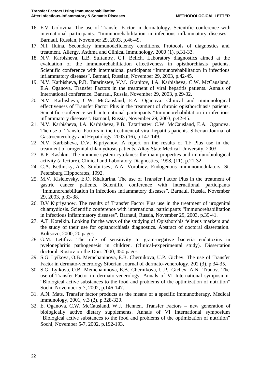- 16. E.V. Golovina. The use of Transfer Factor in dermatology. Scientific conference with international participants. "Immunorehabilitation in infectious inflammatory diseases". Barnaul, Russian, November 29, 2003, p.46-49.
- 17. N.I. Iluina. Secondary immunodeficiency conditions. Protocols of diagnostics and treatment. Allergy, Asthma and Clinical Immunology. 2000 (1), p.31-33.
- 18. N.V. Karbisheva, L.B. Sultanov,. C.I. Belich. Laboratory diagnostics aimed at the evaluation of the immunorehabilitation effectiveness in opisthorchiasis patients. Scientific conference with international participants "Immunorehabilitation in infectious inflammatory diseases". Barnaul, Russian, November 29, 2003, p.42-45.
- 19. N.V. Karbisheva, P.B. Tatarinstev, V.M. Granitov, I.A. Karbisheva, C.W. McCausland, E.A. Oganova. Transfer Factors in the treatment of viral hepatitis patients. Annals of International conference. Banraul, Russia, November 29, 2003, p.29-32.
- 20. N.V. Karbisheva, C.W. McCausland, E.A. Oganova. Clinical and immunological effectiveness of Transfer Factor Plus in the treatment of chronic opisthorchiasis patients. Scientific conference with international participants "Immunorehabilitation in infectious inflammatory diseases". Barnaul, Russia, November 29, 2003, p.42-45.
- 21. N.V. Karbisheva, I.A. Karbisheva, P.B. Tatarinstev, C.W. McCausland, E.A. Oganova. The use of Transfer Factors in the treatment of viral hepatitis patients. Siberian Journal of Gastroenterology and Hepatology. 2003 (16), p.147-149.
- 22. N.V. Karbisheva, D.V. Kipriyanov. A report on the results of TF Plus use in the treatment of urogenital chlamydiosis patients. Altay State Medical University, 2003.
- 23. K.P. Kashkin. The immune system cytokines: the main properties and immunobiological activity (a lecture). Clinical and Laboratory Diagnostics, 1998, (11), p.21-32.
- 24. C.A. Ketlinsky, A.S. Simbirtsev, A.A. Vorobiev. Endogenous immunomodulators, St. Petersburg Hippocrates, 1992.
- 25. M.V. Kisielevsky, E.O. Khalturina. The use of Transfer Factor Plus in the treatment of gastric cancer patients. Scientific conference with international participants "Immunorehabilitation in infectious inflammatory diseases". Barnaul, Russia, November 29, 2003, p.33-38.
- 26. D.V Kipriyanow. The results of Transfer Factor Plus use in the treatment of urogenital chlamydiosis. Scientific conference with international participants "Immunorehabilitation in infectious inflammatory diseases". Barnaul, Russia, November 29, 2003, p.39-41.
- 27. A.T. Kotelkin. Looking for the ways of the studying of Opisthorchis felineus markers and the study of their use for opisthorchiasis diagnostics. Abstract of doctoral dissertation. Koltsovo, 2000, 20 pages.
- 28. G.M. Letifov. The role of sensitivity to gram-negative bacteria endotoxins in pyelonephritis pathogenesis in children. (clinical-experimental study). Dissertation doctoral. Rostov-on-the-Don. 2000, 450 pages.
- 29. S.G. Lyikova, O.B. Memchaninova, E.B. Chernikova, U.P. Gichev. The use of Transfer Factor in dermato-venerology Siberian Journal of dermato-venerology. 202 (3), p.34-35.
- 30. S.G. Lyikova, O.B. Memchaninova, E.B. Chernikova, U.P. Gichev, A.N. Trunov. The use of Transfer Factor in dermato-venerology. Annals of VI International symposium. "Biological active substances to the food and problems of the optimization of nutrition" Sochi, November 5-7, 2002, p.146-147.
- 31. A.N. Mats. Transfer factor products as the means of a specific immunotherapy. Medical immunology, 2001, v.3 (2), p.328-329.
- 32. E. Oganova, C.W. McCausland, W.J. Hennen. Transfer Factors new generation of biologically active dietary supplements. Annals of VI International symposium "Biological active substances to the food and problems of the optimization of nutrition" Sochi, November 5-7, 2002, p.192-193.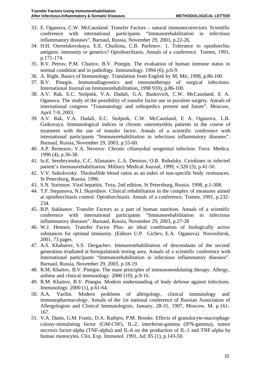- 33. E. Oganova, C.W. McCausland. Transfer Factors natural immunocorrectors. Scientific conference with international participants "Immunorehabilitation in infectious inflammatory diseases". Barnaul, Russia, November 29, 2003, p.22-26.
- 34. H.H. Ozeretskovskaya, E.E. Chuikina, C.B. Parfenov. 1. Tolerance to opisthorchia antigens: immunity or genetics? Opisthorchiasis. Annals of a conference. Tumen, 1991, p.171-174.
- 35. R.V. Petrov, P.M. Chaitov, B.V. Pinegin. The evaluation of human immune status in normal condition and in pathology. Immunology. 1994 (6), p.6-9.
- 36. A. Right. Basics of Immunology. Translation from English by M. Mir, 1998, p.86-100.
- 37. B.V. Pinegin. Immunodiagnostics and immunotherapy of surgical infections. International Journal on Immunorehabilitation, 1998 910), p.86-100.
- 38. A.V. Rak, E.C. Stolpnik, V.A. Dadali, G.A. Baskovich, C.W. McCausland, E A. Oganova. The study of the possibility of transfer factor use in purulent surgery. Annals of international congress "Traumatology and orthopedics present and future". Moscow, April 7-9, 2003.
- 39. A.V. Rak, V.A. Dadali, E.C. Stolpnik, C.W. McCausland, E A. Oganova, L.B. Gaikovaya. Immunological indices in chronic osteomyelitis patients in the course of treatment with the use of transfer factor. Annals of a scientific conference with international participants "Immunorehabilitation in infectious inflammatory diseases". Barnaul, Russia, November 29, 2003, p.55-60.
- 40. A.P. Remezov, V.A. Neverov. Chronic chlamydial urogenital infection. Terra Medica. 1996 (4), p.36-38.
- 41. Iu.E. Serebryansky, C.C. Afanasiev, L.A. Denisov, O.B. Rubalsky. Cytokines in infected patient's immunorehabilitation. Military Medical Journal, 1999, v.320 (3), p.41-50.
- 42. V.V. Sokolovsky. Thiolsulfide blood ratios as an index of non-specific body resitsnaces. St Petersburg, Russia. 1996.
- 43. S.N. Sorinson. Viral hepatitis. Teza, 2nd edition, St Petersburg, Russia. 1998, p.1-308.
- 44. T.F. Stepanova, N.I. Skarednov. Clinical rehabilitation in the complex of measures aimed at opisthorchiasis control. Opisthorchiasis. Annals of a conference, Tumen, 1991, p.232- 234.
- 45. B.P. Sukhanov. Transfer Factors as a part of human nutrition. Annals of a scientific conference with international participants "Immunorehabilitation in infectious inflammatory diseases". Barnaul, Russia, November 29, 2003, p.27-28
- 46. W.J. Hennen. Transfer Factor Plus: an ideal combination of biologically active substances for optimal immunity. (Editors U.P. Gichev, E.A. Oganova). Novosibirsk, 2001, 73 pages.
- 47. A.S. Khabarov, S.S. Dergachev. Immunorehabilitation of descendants of the second generation irradiated at Semipalatinsk testing area. Annals of a scientific conference with International participants "Immunorehabilitation in infectious inflammatory diseases". Barnaul, Russia, November 29, 2003, p.18-19.
- 48. R.M. Khaitov, B.V. Pinegin. The main principles of immunomodulating therapy. Allergy, asthma and clinical immunology. 2000 (10), p.9-16.
- 49. R.M. Khaitov, B.V. Pinegin. Modern understanding of body defense against infections. Immunology. 2000 (1), p.61-64.
- 50. A.A. Yarilin. Modern problems of allergology, clinical immunology and immunopharmacology. Annals of the 1st national conference of Russian Association of Allergologists and Clinical Immunologists. January, 28-31, 1997, Moscow, M. p.161- 167.
- 51. V.A. Danis, G.M. Franic, D.A. Rathjen, P.M. Brooks. Effects of granulocyte-macrophage colony-stimulating factor (GM-CSF), IL-2, interferon-gamma (IFN-gamma), tumor necrosis factor-alpha (TNF-alpha) and IL-6 on the production of IL-1 and TNF-alpha by human monocytes. Clin. Exp. Immunol. 1991, Jul; 85 (1), p.143-50.